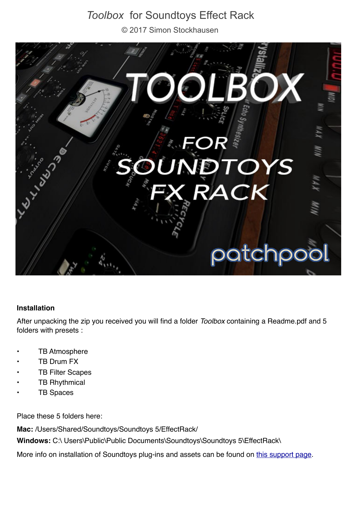# *Toolbox* for Soundtoys Effect Rack

© 2017 Simon Stockhausen



#### **Installation**

After unpacking the zip you received you will find a folder *Toolbox* containing a Readme.pdf and 5 folders with presets :

- **TB Atmosphere**
- **TB Drum FX**
- **TB Filter Scapes**
- **TB Rhythmical**
- **TB Spaces**

Place these 5 folders here:

**Mac:** /Users/Shared/Soundtoys/Soundtoys 5/EffectRack/

Windows: C:\ Users\Public\Public Documents\Soundtoys\Soundtoys 5\EffectRack\

More info on installation of Soundtoys plug-ins and assets can be found on [this support page.](http://support.soundtoys.com/customer/en/portal/articles/2068923-where-is-everything-installed-to-)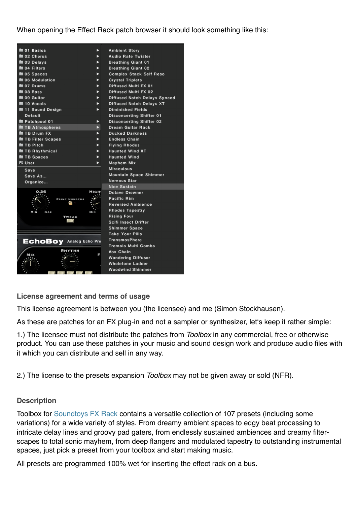#### When opening the Effect Rack patch browser it should look something like this:

| ■ 01 Basics                    | ▶    | <b>Ambient Story</b>                |  |
|--------------------------------|------|-------------------------------------|--|
| ■ 02 Chorus                    | ►    | Audio Rate Twister                  |  |
| ■ 03 Delays                    | ►    | <b>Breathing Giant 01</b>           |  |
| ■ 04 Filters                   | ►    | <b>Breathing Giant 02</b>           |  |
| ■ 05 Spaces                    | ►    | <b>Complex Stack Self Reso</b>      |  |
| ■ 06 Modulation                | ►    | <b>Crystal Triplets</b>             |  |
| ■ 07 Drums                     | ►    | <b>Diffused Multi FX 01</b>         |  |
| $\blacksquare$ 08 Bass         | ►    | <b>Diffused Multi FX 02</b>         |  |
| ■ 09 Guitar                    | ь    | <b>Diffused Notch Delays Synced</b> |  |
| ■ 10 Vocals                    | ь    | <b>Diffused Notch Delays XT</b>     |  |
| 11 Sound Design                | ь    | <b>Diminished Fields</b>            |  |
| Default                        |      | <b>Disconcerting Shifter 01</b>     |  |
| Patchpool 01                   | ▶    | <b>Disconcerting Shifter 02</b>     |  |
| TB Atmospheres                 | ь    | <b>Dream Guitar Rack</b>            |  |
| TB Drum FX                     | ь    | <b>Ducked Darkness</b>              |  |
| <b>TB Filter Scapes</b>        | ►    | <b>Endless Chain</b>                |  |
| TB Pitch                       | ь    | <b>Flying Rhodes</b>                |  |
| ■ TB Rhythmical                | ь    | <b>Haunted Wind XT</b>              |  |
| TB Spaces                      | ь    | <b>Haunted Wind</b>                 |  |
| <b>Z</b> User                  | ь    | Mayhem Mix                          |  |
| Save                           |      | <b>Miraculous</b>                   |  |
| Save As                        |      | <b>Mountain Space Shimmer</b>       |  |
| Organize                       |      | Nervous Star                        |  |
|                                |      | <b>Nice Sustain</b>                 |  |
|                                | HIGH | <b>Octave Drowner</b>               |  |
| <b>PRIME NUMBERS</b>           |      | Pacific Rim                         |  |
|                                |      | <b>Reversed Ambience</b>            |  |
| MIN<br>MAX                     | MIN  | <b>Rhodes Tapestry</b>              |  |
| TWEAK                          |      | <b>Rising Four</b>                  |  |
|                                |      | Scifi Insect Drifter                |  |
|                                |      | Shimmer Space                       |  |
|                                |      | Take Your Pills                     |  |
| <b>EchoBoy Analog Echo Pro</b> |      | TransmosPhere                       |  |
|                                |      | Tremolo Multi Combo                 |  |
|                                | E    | Vox Chain                           |  |
|                                |      | <b>Wandering Diffusor</b>           |  |
|                                |      | <b>Wholetone Ladder</b>             |  |
|                                |      | <b>Woodwind Shimmer</b>             |  |
|                                |      |                                     |  |

**License agreement and terms of usage**

This license agreement is between you (the licensee) and me (Simon Stockhausen).

As these are patches for an FX plug-in and not a sampler or synthesizer, let's keep it rather simple:

1.) The licensee must not distribute the patches from *Toolbox* in any commercial, free or otherwise product. You can use these patches in your music and sound design work and produce audio files with it which you can distribute and sell in any way.

2.) The license to the presets expansion *Toolbox* may not be given away or sold (NFR).

#### **Description**

Toolbox for [Soundtoys FX Rack](http://www.soundtoys.com/product/soundtoys-5/) contains a versatile collection of 107 presets (including some variations) for a wide variety of styles. From dreamy ambient spaces to edgy beat processing to intricate delay lines and groovy pad gaters, from endlessly sustained ambiences and creamy filterscapes to total sonic mayhem, from deep flangers and modulated tapestry to outstanding instrumental spaces, just pick a preset from your toolbox and start making music.

All presets are programmed 100% wet for inserting the effect rack on a bus.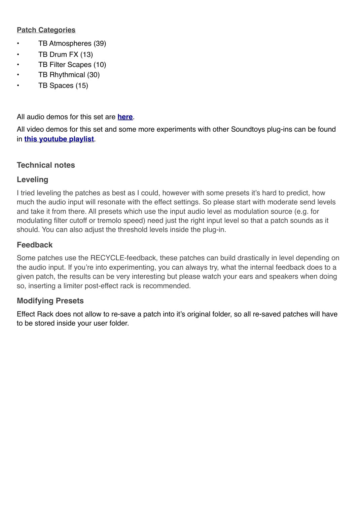# **Patch Categories**

- TB Atmospheres (39)
- TB Drum FX (13)
- TB Filter Scapes (10)
- TB Rhythmical (30)
- TB Spaces (15)

All audio demos for this set are **[here](https://soundcloud.com/sampleconstruct/sets/toolbox-for-soundtoys-fx-rack)**.

All video demos for this set and some more experiments with other Soundtoys plug-ins can be found in **[this youtube playlist](https://www.youtube.com/watch?v=TVm_SV__eZk&list=PLdDy6n1e-aeOhn9pRh7bN20Ofytx7JXj2)**.

# **Technical notes**

# **Leveling**

I tried leveling the patches as best as I could, however with some presets it's hard to predict, how much the audio input will resonate with the effect settings. So please start with moderate send levels and take it from there. All presets which use the input audio level as modulation source (e.g. for modulating filter cutoff or tremolo speed) need just the right input level so that a patch sounds as it should. You can also adjust the threshold levels inside the plug-in.

# **Feedback**

Some patches use the RECYCLE-feedback, these patches can build drastically in level depending on the audio input. If you're into experimenting, you can always try, what the internal feedback does to a given patch, the results can be very interesting but please watch your ears and speakers when doing so, inserting a limiter post-effect rack is recommended.

# **Modifying Presets**

Effect Rack does not allow to re-save a patch into it's original folder, so all re-saved patches will have to be stored inside your user folder.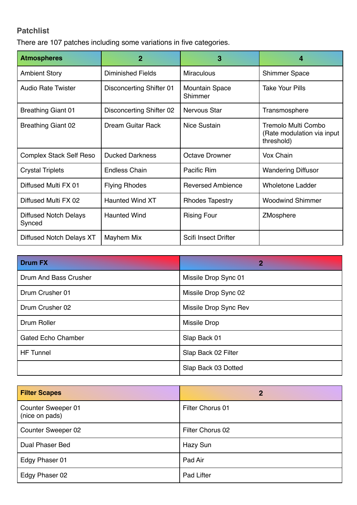# **Patchlist**

There are 107 patches including some variations in five categories.

| <b>Atmospheres</b>                     | $\overline{2}$                  | 3                                | 4                                                               |
|----------------------------------------|---------------------------------|----------------------------------|-----------------------------------------------------------------|
| <b>Ambient Story</b>                   | <b>Diminished Fields</b>        | <b>Miraculous</b>                | <b>Shimmer Space</b>                                            |
| <b>Audio Rate Twister</b>              | <b>Disconcerting Shifter 01</b> | <b>Mountain Space</b><br>Shimmer | <b>Take Your Pills</b>                                          |
| <b>Breathing Giant 01</b>              | Disconcerting Shifter 02        | Nervous Star                     | Transmosphere                                                   |
| <b>Breathing Giant 02</b>              | <b>Dream Guitar Rack</b>        | Nice Sustain                     | Tremolo Multi Combo<br>(Rate modulation via input<br>threshold) |
| <b>Complex Stack Self Reso</b>         | <b>Ducked Darkness</b>          | <b>Octave Drowner</b>            | Vox Chain                                                       |
| <b>Crystal Triplets</b>                | <b>Endless Chain</b>            | Pacific Rim                      | <b>Wandering Diffusor</b>                                       |
| Diffused Multi FX 01                   | <b>Flying Rhodes</b>            | <b>Reversed Ambience</b>         | <b>Wholetone Ladder</b>                                         |
| Diffused Multi FX 02                   | <b>Haunted Wind XT</b>          | <b>Rhodes Tapestry</b>           | <b>Woodwind Shimmer</b>                                         |
| <b>Diffused Notch Delays</b><br>Synced | <b>Haunted Wind</b>             | <b>Rising Four</b>               | ZMosphere                                                       |
| Diffused Notch Delays XT               | Mayhem Mix                      | Scifi Insect Drifter             |                                                                 |

| <b>Drum FX</b>            | $\overline{2}$        |
|---------------------------|-----------------------|
| Drum And Bass Crusher     | Missile Drop Sync 01  |
| Drum Crusher 01           | Missile Drop Sync 02  |
| Drum Crusher 02           | Missile Drop Sync Rev |
| Drum Roller               | <b>Missile Drop</b>   |
| <b>Gated Echo Chamber</b> | Slap Back 01          |
| <b>HF Tunnel</b>          | Slap Back 02 Filter   |
|                           | Slap Back 03 Dotted   |

| <b>Filter Scapes</b>                 | $\mathbf{2}$     |
|--------------------------------------|------------------|
| Counter Sweeper 01<br>(nice on pads) | Filter Chorus 01 |
| Counter Sweeper 02                   | Filter Chorus 02 |
| <b>Dual Phaser Bed</b>               | Hazy Sun         |
| Edgy Phaser 01                       | Pad Air          |
| Edgy Phaser 02                       | Pad Lifter       |